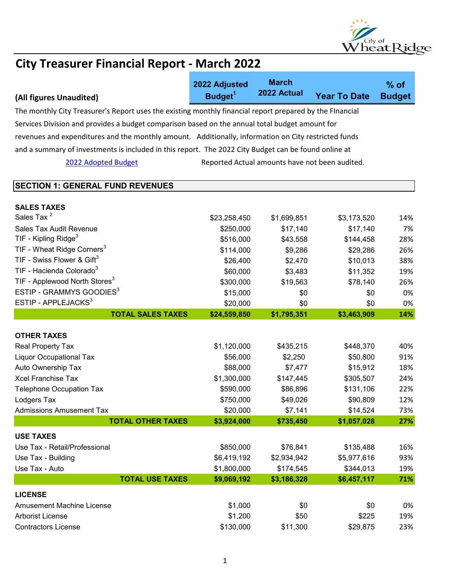

|                                                                                                          | 2022 Adjusted       | <b>March</b><br>2022 Actual                    |                     | $%$ of        |
|----------------------------------------------------------------------------------------------------------|---------------------|------------------------------------------------|---------------------|---------------|
| (All figures Unaudited)                                                                                  | Budget <sup>1</sup> |                                                | <b>Year To Date</b> | <b>Budget</b> |
| The monthly City Treasurer's Report uses the existing monthly financial report prepared by the Flnancial |                     |                                                |                     |               |
| Services Division and provides a budget comparison based on the annual total budget amount for           |                     |                                                |                     |               |
| revenues and expenditures and the monthly amount. Additionally, information on City restricted funds     |                     |                                                |                     |               |
| and a summary of investments is included in this report. The 2022 City Budget can be found online at     |                     |                                                |                     |               |
| 2022 Adopted Budget                                                                                      |                     | Reported Actual amounts have not been audited. |                     |               |
|                                                                                                          |                     |                                                |                     |               |
| <b>SECTION 1: GENERAL FUND REVENUES</b>                                                                  |                     |                                                |                     |               |
|                                                                                                          |                     |                                                |                     |               |
| <b>SALES TAXES</b>                                                                                       |                     |                                                |                     |               |
| Sales Tax <sup>2</sup>                                                                                   | \$23,258,450        | \$1,699,851                                    | \$3,173,520         | 14%           |
| Sales Tax Audit Revenue                                                                                  | \$250,000           | \$17,140                                       | \$17,140            | 7%            |
| TIF - Kipling Ridge <sup>3</sup>                                                                         | \$516,000           | \$43,558                                       | \$144,458           | 28%           |
| TIF - Wheat Ridge Corners <sup>3</sup>                                                                   | \$114,000           | \$9,286                                        | \$29,286            | 26%           |
| TIF - Swiss Flower & Gift $3$                                                                            | \$26,400            | \$2,470                                        | \$10,013            | 38%           |
| TIF - Hacienda Colorado <sup>3</sup>                                                                     | \$60,000            | \$3,483                                        | \$11,352            | 19%           |
| TIF - Applewood North Stores <sup>3</sup>                                                                | \$300,000           | \$19,563                                       | \$78,140            | 26%           |
| ESTIP - GRAMMYS GOODIES <sup>3</sup>                                                                     | \$15,000            | \$0                                            | \$0                 | 0%            |
| ESTIP - APPLEJACKS <sup>3</sup>                                                                          | \$20,000            | \$0                                            | \$0                 | 0%            |
| <b>TOTAL SALES TAXES</b>                                                                                 | \$24,559,850        | \$1,795,351                                    | \$3,463,909         | 14%           |
| <b>OTHER TAXES</b>                                                                                       |                     |                                                |                     |               |
| Real Property Tax                                                                                        | \$1,120,000         | \$435,215                                      | \$448,370           | 40%           |
| <b>Liquor Occupational Tax</b>                                                                           | \$56,000            | \$2,250                                        | \$50,800            | 91%           |
| Auto Ownership Tax                                                                                       | \$88,000            | \$7,477                                        | \$15,912            | 18%           |
| <b>Xcel Franchise Tax</b>                                                                                | \$1,300,000         | \$147,445                                      | \$305,507           | 24%           |
| <b>Telephone Occupation Tax</b>                                                                          | \$590,000           | \$86,896                                       | \$131,106           | 22%           |
| Lodgers Tax                                                                                              | \$750,000           | \$49,026                                       | \$90,809            | 12%           |
| <b>Admissions Amusement Tax</b>                                                                          | \$20,000            | \$7,141                                        | \$14,524            | 73%           |
| <b>TOTAL OTHER TAXES</b>                                                                                 | \$3,924,000         | \$735,450                                      | \$1,057,028         | 27%           |
| <b>USE TAXES</b>                                                                                         |                     |                                                |                     |               |
| Use Tax - Retail/Professional                                                                            | \$850,000           | \$76,841                                       | \$135,488           | 16%           |
| Use Tax - Building                                                                                       | \$6,419,192         | \$2,934,942                                    | \$5,977,616         | 93%           |
| Use Tax - Auto                                                                                           | \$1,800,000         | \$174,545                                      | \$344,013           | 19%           |
| <b>TOTAL USE TAXES</b>                                                                                   | \$9,069,192         | \$3,186,328                                    | \$6,457,117         | 71%           |
| <b>LICENSE</b>                                                                                           |                     |                                                |                     |               |
| <b>Amusement Machine License</b>                                                                         | \$1,000             | \$0                                            | \$0                 | 0%            |
| Arborist License                                                                                         | \$1,200             | \$50                                           | \$225               | 19%           |
| <b>Contractors License</b>                                                                               | \$130,000           | \$11,300                                       | \$29,875            | 23%           |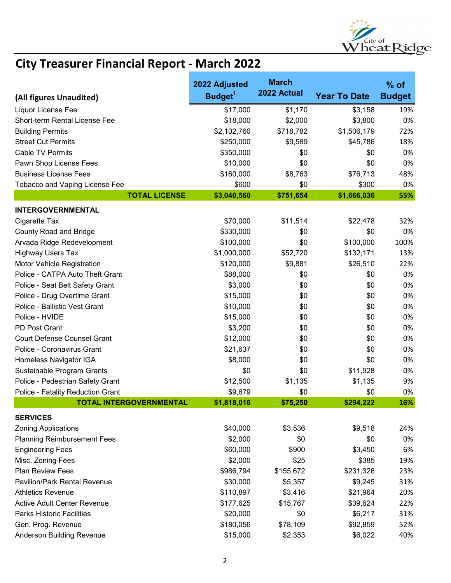

|                                     | 2022 Adjusted       | <b>March</b> |                     | $%$ of        |
|-------------------------------------|---------------------|--------------|---------------------|---------------|
| (All figures Unaudited)             | Budget <sup>1</sup> | 2022 Actual  | <b>Year To Date</b> | <b>Budget</b> |
| Liquor License Fee                  | \$17,000            | \$1,170      | \$3,158             | 19%           |
| Short-term Rental License Fee       | \$18,000            | \$2,000      | \$3,800             | 0%            |
| <b>Building Permits</b>             | \$2,102,760         | \$718,782    | \$1,506,179         | 72%           |
| <b>Street Cut Permits</b>           | \$250,000           | \$9,589      | \$45,786            | 18%           |
| <b>Cable TV Permits</b>             | \$350,000           | \$0          | \$0                 | 0%            |
| Pawn Shop License Fees              | \$10,000            | \$0          | \$0                 | 0%            |
| <b>Business License Fees</b>        | \$160,000           | \$8,763      | \$76,713            | 48%           |
| Tobacco and Vaping License Fee      | \$600               | \$0          | \$300               | 0%            |
| <b>TOTAL LICENSE</b>                | \$3,040,560         | \$751,654    | \$1,666,036         | 55%           |
| <b>INTERGOVERNMENTAL</b>            |                     |              |                     |               |
| Cigarette Tax                       | \$70,000            | \$11,514     | \$22,478            | 32%           |
| <b>County Road and Bridge</b>       | \$330,000           | \$0          | \$0                 | 0%            |
| Arvada Ridge Redevelopment          | \$100,000           | \$0          | \$100,000           | 100%          |
| <b>Highway Users Tax</b>            | \$1,000,000         | \$52,720     | \$132,171           | 13%           |
| Motor Vehicle Registration          | \$120,000           | \$9,881      | \$26,510            | 22%           |
| Police - CATPA Auto Theft Grant     | \$88,000            | \$0          | \$0                 | 0%            |
| Police - Seat Belt Safety Grant     | \$3,000             | \$0          | \$0                 | 0%            |
| Police - Drug Overtime Grant        | \$15,000            | \$0          | \$0                 | 0%            |
| Police - Ballistic Vest Grant       | \$10,000            | \$0          | \$0                 | 0%            |
| Police - HVIDE                      | \$15,000            | \$0          | \$0                 | 0%            |
| PD Post Grant                       | \$3,200             | \$0          | \$0                 | 0%            |
| <b>Court Defense Counsel Grant</b>  | \$12,000            | \$0          | \$0                 | 0%            |
| Police - Coronavirus Grant          | \$21,637            | \$0          | \$0                 | 0%            |
| Homeless Navigator IGA              | \$8,000             | \$0          | \$0                 | 0%            |
| Sustainable Program Grants          | \$0                 | \$0          | \$11,928            | 0%            |
| Police - Pedestrian Safety Grant    | \$12,500            | \$1,135      | \$1,135             | 9%            |
| Police - Fatality Reduction Grant   | \$9,679             | \$0          | \$0                 | 0%            |
| <b>TOTAL INTERGOVERNMENTAL</b>      | \$1,818,016         | \$75,250     | \$294,222           | 16%           |
| <b>SERVICES</b>                     |                     |              |                     |               |
| <b>Zoning Applications</b>          | \$40,000            | \$3,536      | \$9,518             | 24%           |
| <b>Planning Reimbursement Fees</b>  | \$2,000             | \$0          | \$0                 | 0%            |
| <b>Engineering Fees</b>             | \$60,000            | \$900        | \$3,450             | 6%            |
| Misc. Zoning Fees                   | \$2,000             | \$25         | \$385               | 19%           |
| <b>Plan Review Fees</b>             | \$986,794           | \$155,672    | \$231,326           | 23%           |
| <b>Pavilion/Park Rental Revenue</b> | \$30,000            | \$5,357      | \$9,245             | 31%           |
| <b>Athletics Revenue</b>            | \$110,897           | \$3,416      | \$21,964            | 20%           |
| <b>Active Adult Center Revenue</b>  | \$177,625           | \$15,767     | \$39,624            | 22%           |
| <b>Parks Historic Facilities</b>    | \$20,000            | \$0          | \$6,217             | 31%           |
| Gen. Prog. Revenue                  | \$180,056           | \$78,109     | \$92,859            | 52%           |
| <b>Anderson Building Revenue</b>    | \$15,000            | \$2,353      | \$6,022             | 40%           |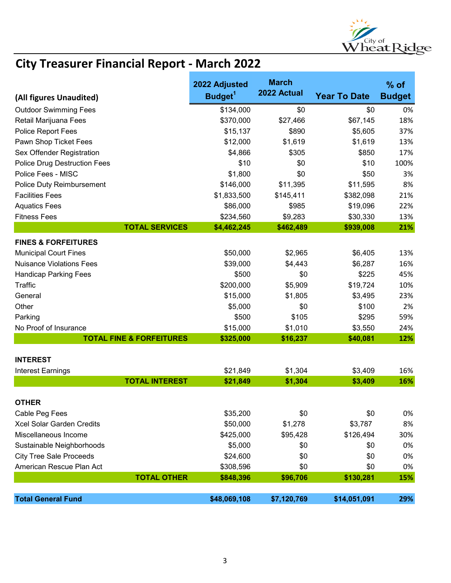

|                                     | 2022 Adjusted       | <b>March</b> |                     | $%$ of        |
|-------------------------------------|---------------------|--------------|---------------------|---------------|
| (All figures Unaudited)             | Budget <sup>1</sup> | 2022 Actual  | <b>Year To Date</b> | <b>Budget</b> |
| <b>Outdoor Swimming Fees</b>        | \$134,000           | \$0          | \$0                 | 0%            |
| Retail Marijuana Fees               | \$370,000           | \$27,466     | \$67,145            | 18%           |
| Police Report Fees                  | \$15,137            | \$890        | \$5,605             | 37%           |
| Pawn Shop Ticket Fees               | \$12,000            | \$1,619      | \$1,619             | 13%           |
| Sex Offender Registration           | \$4,866             | \$305        | \$850               | 17%           |
| <b>Police Drug Destruction Fees</b> | \$10                | \$0          | \$10                | 100%          |
| Police Fees - MISC                  | \$1,800             | \$0          | \$50                | 3%            |
| Police Duty Reimbursement           | \$146,000           | \$11,395     | \$11,595            | 8%            |
| <b>Facilities Fees</b>              | \$1,833,500         | \$145,411    | \$382,098           | 21%           |
| <b>Aquatics Fees</b>                | \$86,000            | \$985        | \$19,096            | 22%           |
| <b>Fitness Fees</b>                 | \$234,560           | \$9,283      | \$30,330            | 13%           |
| <b>TOTAL SERVICES</b>               | \$4,462,245         | \$462,489    | \$939,008           | 21%           |
| <b>FINES &amp; FORFEITURES</b>      |                     |              |                     |               |
| <b>Municipal Court Fines</b>        | \$50,000            | \$2,965      | \$6,405             | 13%           |
| <b>Nuisance Violations Fees</b>     | \$39,000            | \$4,443      | \$6,287             | 16%           |
| <b>Handicap Parking Fees</b>        | \$500               | \$0          | \$225               | 45%           |
| Traffic                             | \$200,000           | \$5,909      | \$19,724            | 10%           |
| General                             | \$15,000            | \$1,805      | \$3,495             | 23%           |
| Other                               | \$5,000             | \$0          | \$100               | 2%            |
| Parking                             | \$500               | \$105        | \$295               | 59%           |
| No Proof of Insurance               | \$15,000            | \$1,010      | \$3,550             | 24%           |
| <b>TOTAL FINE &amp; FORFEITURES</b> | \$325,000           | \$16,237     | \$40,081            | 12%           |
|                                     |                     |              |                     |               |
| <b>INTEREST</b>                     |                     |              |                     |               |
| <b>Interest Earnings</b>            | \$21,849            | \$1,304      | \$3,409             | 16%           |
| <b>TOTAL INTEREST</b>               | \$21,849            | \$1,304      | \$3,409             | 16%           |
| <b>OTHER</b>                        |                     |              |                     |               |
| Cable Peg Fees                      | \$35,200            | \$0          | \$0                 | 0%            |
| Xcel Solar Garden Credits           | \$50,000            | \$1,278      | \$3,787             | 8%            |
| Miscellaneous Income                | \$425,000           | \$95,428     | \$126,494           | 30%           |
| Sustainable Neighborhoods           | \$5,000             | \$0          | \$0                 | 0%            |
| <b>City Tree Sale Proceeds</b>      | \$24,600            | \$0          | \$0                 | 0%            |
| American Rescue Plan Act            | \$308,596           | \$0          | \$0                 | 0%            |
| <b>TOTAL OTHER</b>                  | \$848,396           | \$96,706     | \$130,281           | 15%           |
|                                     |                     |              |                     |               |
| <b>Total General Fund</b>           | \$48,069,108        | \$7,120,769  | \$14,051,091        | 29%           |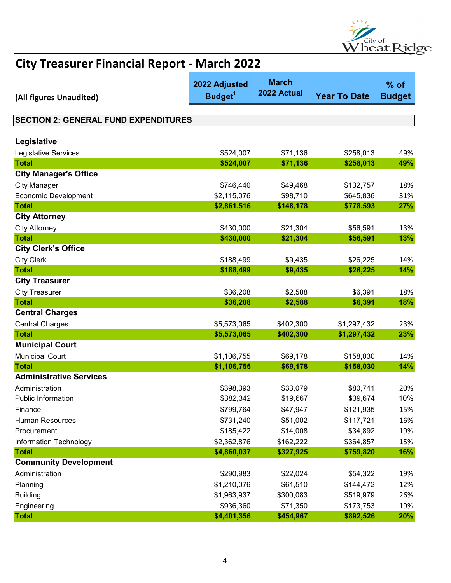

| (All figures Unaudited)                     | 2022 Adjusted<br>Budget <sup>1</sup> | <b>March</b><br>2022 Actual | <b>Year To Date</b> | $%$ of<br><b>Budget</b> |
|---------------------------------------------|--------------------------------------|-----------------------------|---------------------|-------------------------|
|                                             |                                      |                             |                     |                         |
| <b>SECTION 2: GENERAL FUND EXPENDITURES</b> |                                      |                             |                     |                         |
| Legislative                                 |                                      |                             |                     |                         |
| Legislative Services                        | \$524,007                            | \$71,136                    | \$258,013           | 49%                     |
| <b>Total</b>                                | \$524,007                            | \$71,136                    | \$258,013           | 49%                     |
| <b>City Manager's Office</b>                |                                      |                             |                     |                         |
| <b>City Manager</b>                         | \$746,440                            | \$49,468                    | \$132,757           | 18%                     |
| <b>Economic Development</b>                 | \$2,115,076                          | \$98,710                    | \$645,836           | 31%                     |
| <b>Total</b>                                | \$2,861,516                          | \$148,178                   | \$778,593           | 27%                     |
| <b>City Attorney</b>                        |                                      |                             |                     |                         |
| <b>City Attorney</b>                        | \$430,000                            | \$21,304                    | \$56,591            | 13%                     |
| <b>Total</b>                                | \$430,000                            | \$21,304                    | \$56,591            | 13%                     |
| <b>City Clerk's Office</b>                  |                                      |                             |                     |                         |
| <b>City Clerk</b>                           | \$188,499                            | \$9,435                     | \$26,225            | 14%                     |
| <b>Total</b>                                | \$188,499                            | \$9,435                     | \$26,225            | 14%                     |
| <b>City Treasurer</b>                       |                                      |                             |                     |                         |
| <b>City Treasurer</b>                       | \$36,208                             | \$2,588                     | \$6,391             | 18%                     |
| <b>Total</b>                                | \$36,208                             | \$2,588                     | \$6,391             | 18%                     |
| <b>Central Charges</b>                      |                                      |                             |                     |                         |
| <b>Central Charges</b>                      | \$5,573,065                          | \$402,300                   | \$1,297,432         | 23%                     |
| <b>Total</b>                                | \$5,573,065                          | \$402,300                   | \$1,297,432         | 23%                     |
| <b>Municipal Court</b>                      |                                      |                             |                     |                         |
| <b>Municipal Court</b>                      | \$1,106,755                          | \$69,178                    | \$158,030           | 14%                     |
| <b>Total</b>                                | \$1,106,755                          | \$69,178                    | \$158,030           | 14%                     |
| <b>Administrative Services</b>              |                                      |                             |                     |                         |
| Administration                              | \$398,393                            | \$33,079                    | \$80,741            | 20%                     |
| <b>Public Information</b>                   | \$382,342                            | \$19,667                    | \$39,674            | 10%                     |
| Finance                                     | \$799,764                            | \$47,947                    | \$121,935           | 15%                     |
| Human Resources                             | \$731,240                            | \$51,002                    | \$117,721           | 16%                     |
| Procurement                                 | \$185,422                            | \$14,008                    | \$34,892            | 19%                     |
| <b>Information Technology</b>               | \$2,362,876                          | \$162,222                   | \$364,857           | 15%                     |
| <b>Total</b>                                | \$4,860,037                          | \$327,925                   | \$759,820           | 16%                     |
| <b>Community Development</b>                |                                      |                             |                     |                         |
| Administration                              | \$290,983                            | \$22,024                    | \$54,322            | 19%                     |
| Planning                                    | \$1,210,076                          | \$61,510                    | \$144,472           | 12%                     |
| <b>Building</b>                             | \$1,963,937                          | \$300,083                   | \$519,979           | 26%                     |
| Engineering                                 | \$936,360                            | \$71,350                    | \$173,753           | 19%                     |
| <b>Total</b>                                | \$4,401,356                          | \$454,967                   | \$892,526           | 20%                     |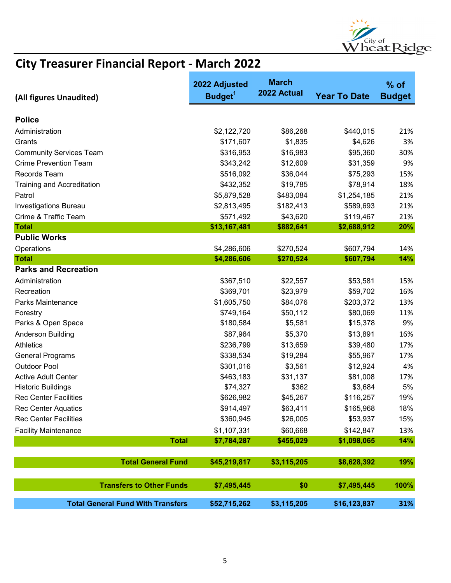

| (All figures Unaudited)                     | 2022 Adjusted<br>Budget <sup>1</sup> | <b>March</b><br>2022 Actual | <b>Year To Date</b> | $%$ of<br><b>Budget</b> |
|---------------------------------------------|--------------------------------------|-----------------------------|---------------------|-------------------------|
|                                             |                                      |                             |                     |                         |
| <b>Police</b>                               |                                      |                             |                     |                         |
| Administration                              | \$2,122,720                          | \$86,268                    | \$440,015           | 21%                     |
| Grants                                      | \$171,607                            | \$1,835                     | \$4,626             | 3%                      |
| <b>Community Services Team</b>              | \$316,953                            | \$16,983                    | \$95,360            | 30%                     |
| <b>Crime Prevention Team</b>                | \$343,242                            | \$12,609                    | \$31,359            | 9%                      |
| Records Team                                | \$516,092                            | \$36,044                    | \$75,293            | 15%                     |
| <b>Training and Accreditation</b>           | \$432,352                            | \$19,785                    | \$78,914            | 18%                     |
| Patrol                                      | \$5,879,528                          | \$483,084                   | \$1,254,185         | 21%                     |
| <b>Investigations Bureau</b>                | \$2,813,495                          | \$182,413                   | \$589,693           | 21%                     |
| Crime & Traffic Team                        | \$571,492                            | \$43,620                    | \$119,467           | 21%                     |
| <b>Total</b>                                | \$13,167,481                         | \$882,641                   | \$2,688,912         | 20%                     |
| <b>Public Works</b>                         |                                      |                             |                     |                         |
| Operations                                  | \$4,286,606<br>\$4,286,606           | \$270,524                   | \$607,794           | 14%                     |
| <b>Total</b><br><b>Parks and Recreation</b> |                                      | \$270,524                   | \$607,794           | 14%                     |
|                                             |                                      |                             |                     |                         |
| Administration                              | \$367,510                            | \$22,557                    | \$53,581            | 15%                     |
| Recreation                                  | \$369,701                            | \$23,979                    | \$59,702            | 16%                     |
| Parks Maintenance                           | \$1,605,750                          | \$84,076                    | \$203,372           | 13%                     |
| Forestry                                    | \$749,164                            | \$50,112                    | \$80,069            | 11%                     |
| Parks & Open Space                          | \$180,584                            | \$5,581                     | \$15,378            | 9%                      |
| Anderson Building                           | \$87,964                             | \$5,370                     | \$13,891            | 16%                     |
| <b>Athletics</b>                            | \$236,799                            | \$13,659                    | \$39,480            | 17%                     |
| <b>General Programs</b>                     | \$338,534                            | \$19,284                    | \$55,967            | 17%                     |
| <b>Outdoor Pool</b>                         | \$301,016                            | \$3,561                     | \$12,924            | 4%                      |
| <b>Active Adult Center</b>                  | \$463,183                            | \$31,137                    | \$81,008            | 17%                     |
| <b>Historic Buildings</b>                   | \$74,327                             | \$362                       | \$3,684             | 5%                      |
| <b>Rec Center Facilities</b>                | \$626,982                            | \$45,267                    | \$116,257           | 19%                     |
| <b>Rec Center Aquatics</b>                  | \$914,497                            | \$63,411                    | \$165,968           | 18%                     |
| <b>Rec Center Facilities</b>                | \$360,945                            | \$26,005                    | \$53,937            | 15%                     |
| <b>Facility Maintenance</b>                 | \$1,107,331                          | \$60,668                    | \$142,847           | 13%                     |
| <b>Total</b>                                | \$7,784,287                          | \$455,029                   | \$1,098,065         | 14%                     |
| <b>Total General Fund</b>                   | \$45,219,817                         | \$3,115,205                 | \$8,628,392         | 19%                     |
| <b>Transfers to Other Funds</b>             | \$7,495,445                          | \$0                         | \$7,495,445         | 100%                    |
| <b>Total General Fund With Transfers</b>    | \$52,715,262                         | \$3,115,205                 | \$16,123,837        | 31%                     |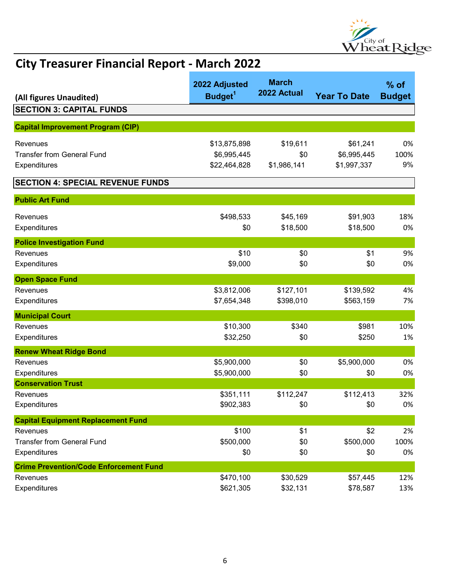

| (All figures Unaudited)                       | 2022 Adjusted<br>Budget <sup>1</sup> | <b>March</b><br>2022 Actual | <b>Year To Date</b> | $%$ of<br><b>Budget</b> |
|-----------------------------------------------|--------------------------------------|-----------------------------|---------------------|-------------------------|
| <b>SECTION 3: CAPITAL FUNDS</b>               |                                      |                             |                     |                         |
|                                               |                                      |                             |                     |                         |
| <b>Capital Improvement Program (CIP)</b>      |                                      |                             |                     |                         |
| Revenues                                      | \$13,875,898                         | \$19,611                    | \$61,241            | 0%                      |
| <b>Transfer from General Fund</b>             | \$6,995,445                          | \$0                         | \$6,995,445         | 100%                    |
| Expenditures                                  | \$22,464,828                         | \$1,986,141                 | \$1,997,337         | 9%                      |
| <b>SECTION 4: SPECIAL REVENUE FUNDS</b>       |                                      |                             |                     |                         |
| <b>Public Art Fund</b>                        |                                      |                             |                     |                         |
| Revenues                                      | \$498,533                            | \$45,169                    | \$91,903            | 18%                     |
| Expenditures                                  | \$0                                  | \$18,500                    | \$18,500            | 0%                      |
| <b>Police Investigation Fund</b>              |                                      |                             |                     |                         |
| Revenues                                      | \$10                                 | \$0                         | \$1                 | 9%                      |
| Expenditures                                  | \$9,000                              | \$0                         | \$0                 | 0%                      |
| <b>Open Space Fund</b>                        |                                      |                             |                     |                         |
| Revenues                                      | \$3,812,006                          | \$127,101                   | \$139,592           | 4%                      |
| Expenditures                                  | \$7,654,348                          | \$398,010                   | \$563,159           | 7%                      |
| <b>Municipal Court</b>                        |                                      |                             |                     |                         |
| Revenues                                      | \$10,300                             | \$340                       | \$981               | 10%                     |
| Expenditures                                  | \$32,250                             | \$0                         | \$250               | 1%                      |
| <b>Renew Wheat Ridge Bond</b>                 |                                      |                             |                     |                         |
| Revenues                                      | \$5,900,000                          | \$0                         | \$5,900,000         | 0%                      |
| Expenditures                                  | \$5,900,000                          | \$0                         | \$0                 | 0%                      |
| <b>Conservation Trust</b>                     |                                      |                             |                     |                         |
| Revenues                                      | \$351,111                            | \$112,247                   | \$112,413           | 32%                     |
| Expenditures                                  | \$902,383                            | \$0                         | \$0                 | 0%                      |
| <b>Capital Equipment Replacement Fund</b>     |                                      |                             |                     |                         |
| Revenues                                      | \$100                                | \$1                         | \$2                 | 2%                      |
| <b>Transfer from General Fund</b>             | \$500,000                            | \$0                         | \$500,000           | 100%                    |
| Expenditures                                  | \$0                                  | \$0                         | \$0                 | 0%                      |
| <b>Crime Prevention/Code Enforcement Fund</b> |                                      |                             |                     |                         |
| Revenues                                      | \$470,100                            | \$30,529                    | \$57,445            | 12%                     |
| Expenditures                                  | \$621,305                            | \$32,131                    | \$78,587            | 13%                     |